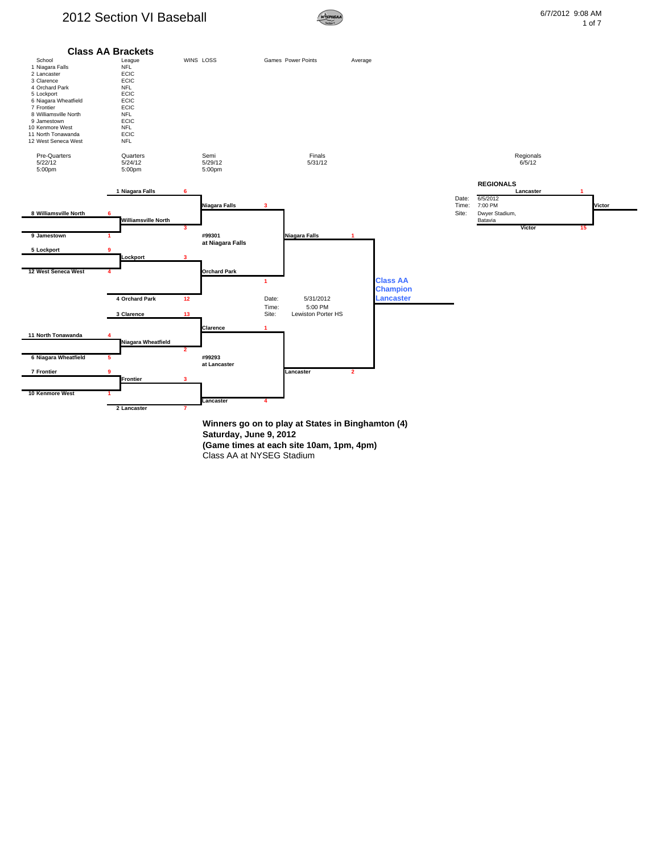## 2012 Section VI Baseball **Example 2012** Section VI Baseball **6/7/2012** 9:08 AM





**(Game times at each site 10am, 1pm, 4pm)** Class AA at NYSEG Stadium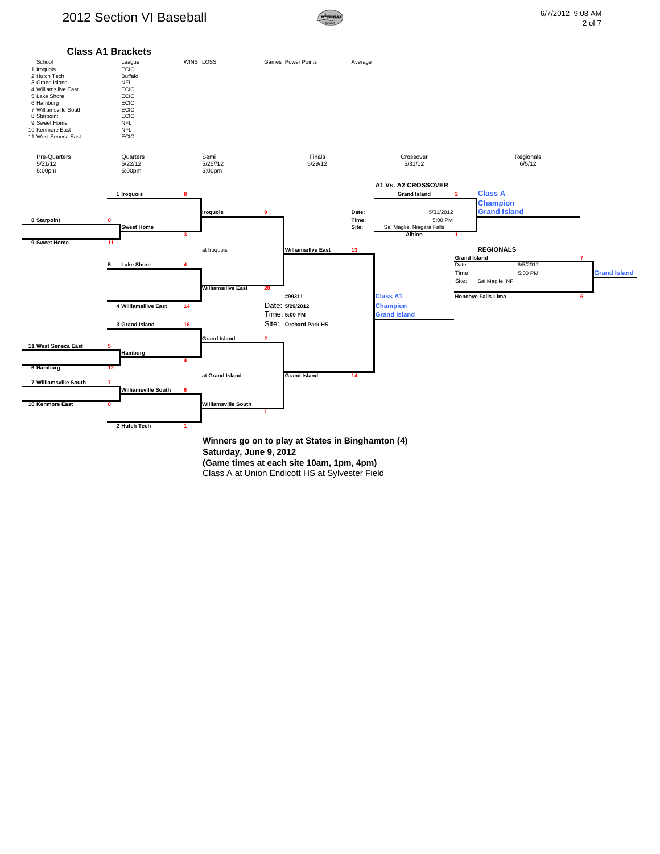## 2012 Section VI Baseball **Example 2012** Section VI Baseball **6/7/2012** 9:08 AM





Class A at Union Endicott HS at Sylvester Field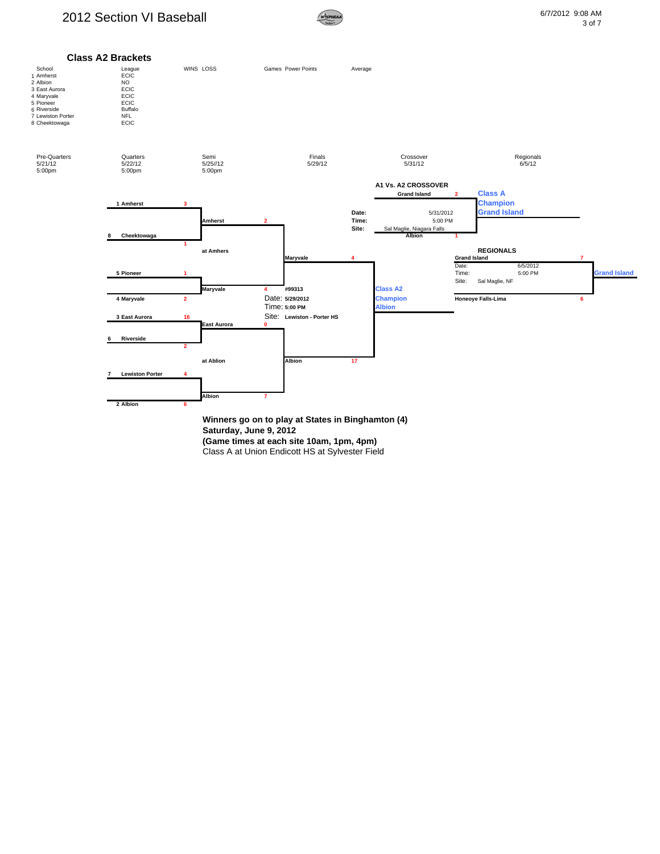

**Saturday, June 9, 2012 (Game times at each site 10am, 1pm, 4pm)**

Class A at Union Endicott HS at Sylvester Field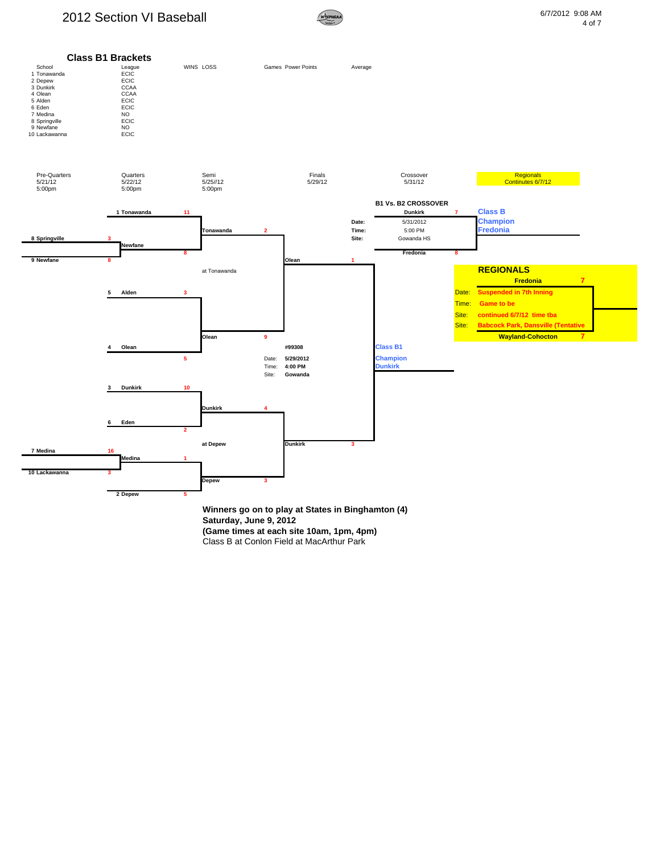## 2012 Section VI Baseball **6/7/2012** 9:08 AM



**(Game times at each site 10am, 1pm, 4pm)** Class B at Conlon Field at MacArthur Park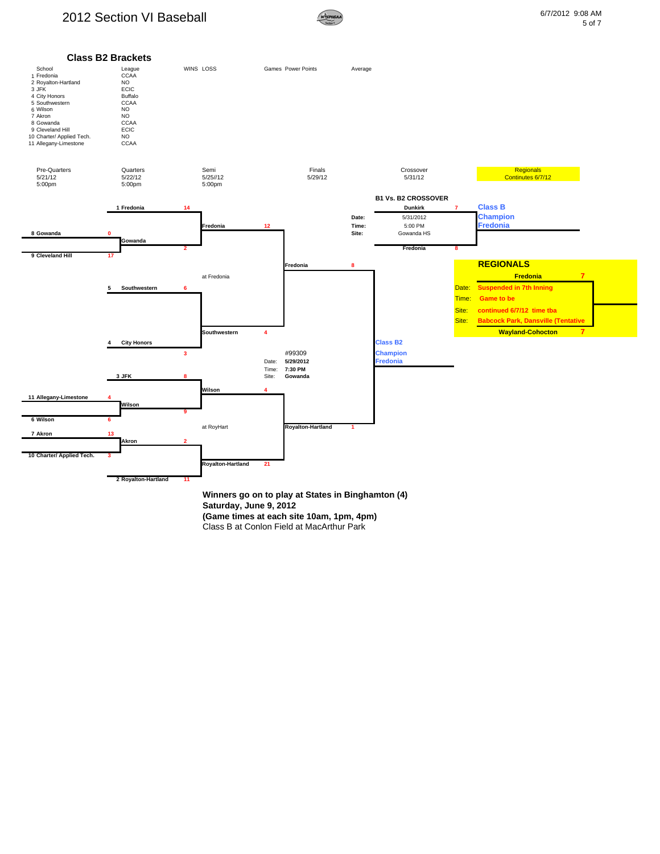## 2012 Section VI Baseball **6/7/2012** 9:08 AM



5 of 7



**Saturday, June 9, 2012** 

**(Game times at each site 10am, 1pm, 4pm)**

Class B at Conlon Field at MacArthur Park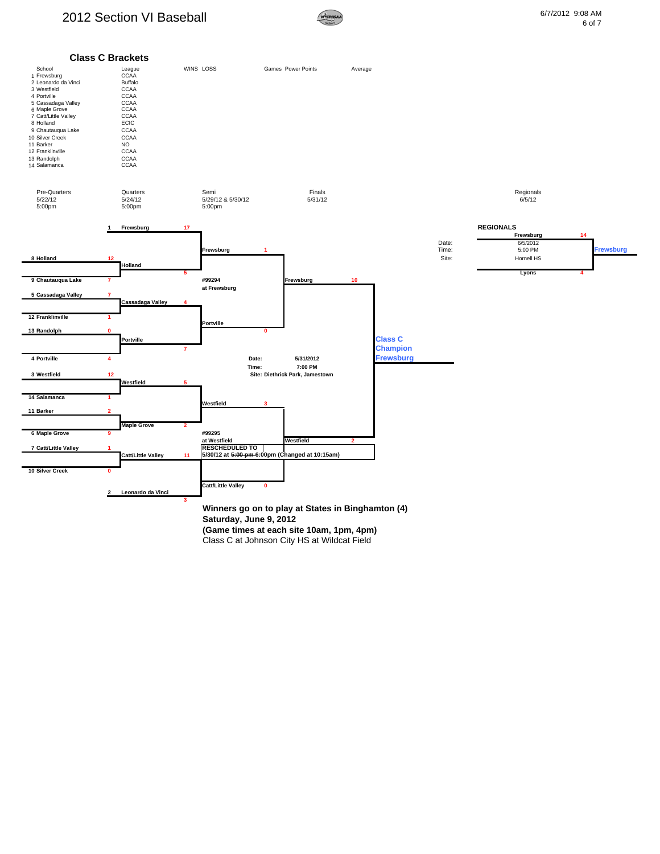

Class C at Johnson City HS at Wildcat Field